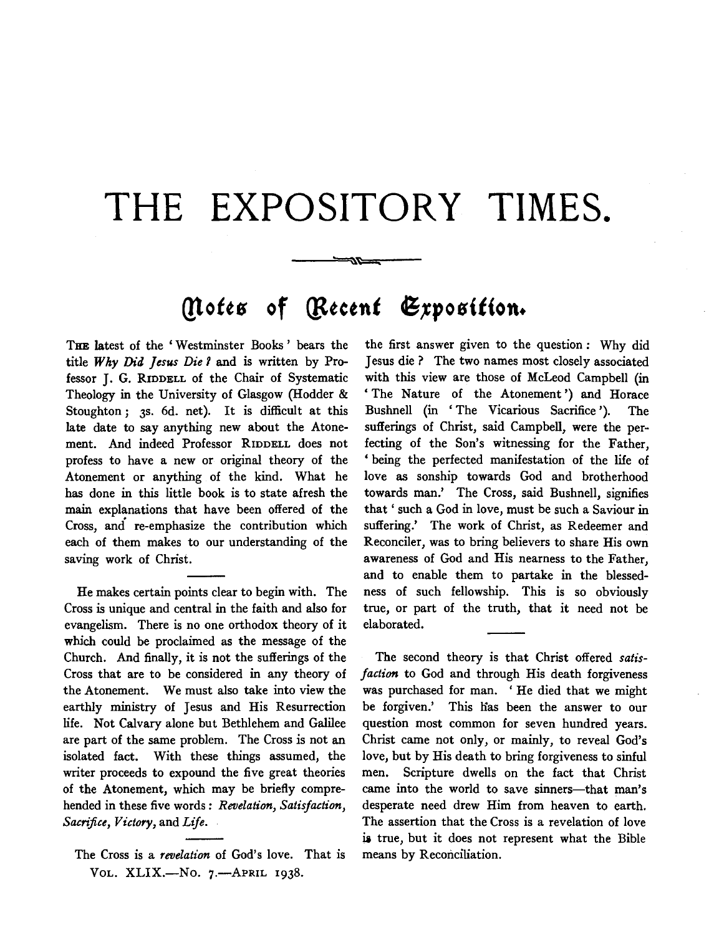# **THE EXPOSITORY TIMES.**

~~-~~~~-

## *(!totts* **of {Ftctnt 4;,xpos(t(on.**

THE latest of the 'Westminster Books' bears the title *Why Did Jesus Die 1* and is written by Professor J. G. RIDDELL of the Chair of Systematic Theology in the University of Glasgow (Hodder & Stoughton; 3s. 6d. net). It is difficult at this late date to say anything new about the Atonement. And indeed Professor RIDDELL does not profess to have a new or original theory of the Atonement or anything of the kind. What he has done in this little book is to state afresh the main explanations that have been offered of the Cross, and re-emphasize the contribution which each of them makes to our understanding of the saving work of Christ.

He makes certain points clear to begin with. The Cross is unique and central in the faith and also for evangelism. There is no one orthodox theory of it which could be proclaimed as the message of the Church. And finally, it is not the sufferings of the Cross that are to be considered in any theory of the Atonement. We must also take into view the earthly ministry of Jesus and His Resurrection life. Not Calvary alone but Bethlehem and Galilee are part of the same problem. The Cross is not an isolated fact. With these things assumed, the writer proceeds to expound the five great theories of the Atonement, which may be briefly comprehended in these five words : *Revelation, Satisfaction, Sacrifice, Victory,* and *Life.* 

The Cross is a *revelation* of God's love. That is VOL. XLIX.-No. 7. - APRIL 1938.

the first answer given to the question : Why did Jesus die ? The two names most closely associated with this view are those of McLeod Campbell (in ' The Nature of the Atonement') and Horace Bushnell (in 'The Vicarious Sacrifice'). The sufferings of Christ, said Campbell, were the perfecting of the Son's witnessing for the Father, ' being the perfected manifestation of the life of love as sonship towards God and brotherhood towards man.' The Cross, said Bushnell, signifies that ' such a God in love, must be such a Saviour in suffering.' The work of Christ, as Redeemer and Reconciler, was to bring believers to share His own awareness of God and His nearness to the Father, and to enable them to partake in the blessedness of such fellowship. This is so obviously true, or part of the truth, that it need not be elaborated.

The second theory is that Christ offered *satisfaction* to God and through His death forgiveness was purchased for man. ' He died that we might be forgiven.' This lias been the answer to our question most common for seven hundred years. Christ came not only, or mainly, to reveal God's love, but by His death to bring forgiveness to sinful men. Scripture dwells on the fact that Christ came into the world to save sinners-that man's desperate need drew Him from heaven to earth. The assertion that the Cross is a revelation of love ia true, but it does not represent what the Bible means by Reconciliation.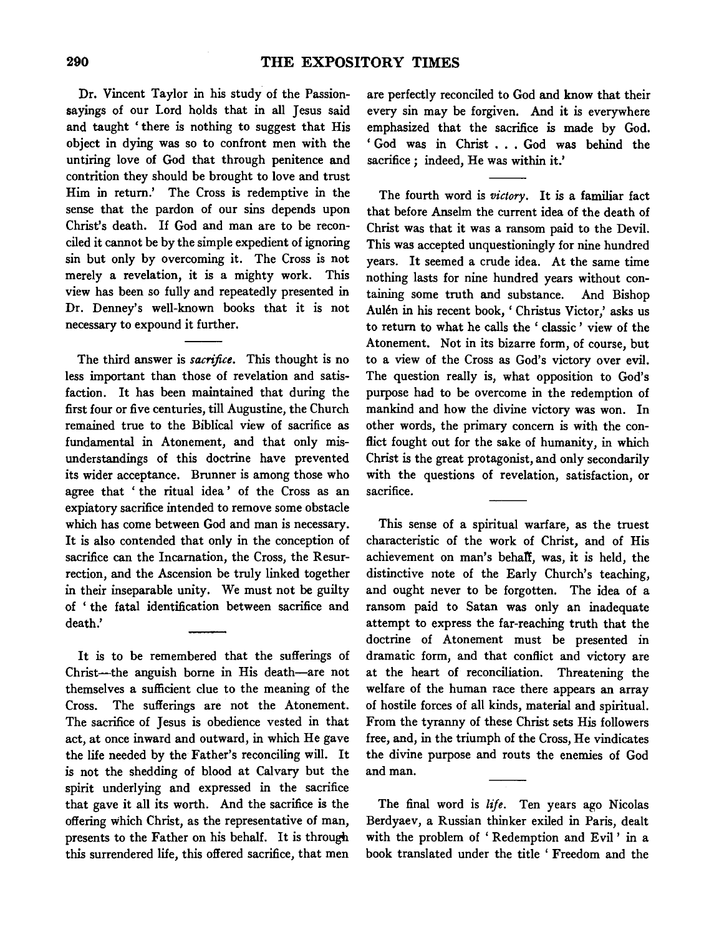Dr. Vincent Taylor in his study of the Passionsayings of our Lord holds that in all Jesus said and taught ' there is nothing to suggest that His object in dying was so to confront men with the untiring love of God that through penitence and contrition they should be brought to love and trust Him in return.' The Cross is redemptive in the sense that the pardon of our sins depends upon Christ's death. If God and man are to be reconciled it cannot be by the simple expedient of ignoring sin but only by overcoming it. The Cross is not merely a revelation, it is a mighty work. This view has been so fully and repeatedly presented in Dr. Denney's well-known books that it is not necessary to expound it further.

The third answer is *sacrifice.* This thought is no less important than those of revelation and satisfaction. It has been maintained that during the first four or five centuries, till Augustine, the Church remained true to the Biblical view of sacrifice as fundamental in Atonement, and that only misunderstandings of this doctrine have prevented its wider acceptance. Brunner is among those who agree that ' the ritual idea ' of the Cross as an expiatory sacrifice intended to remove some obstacle which has come between God and man is necessary. It is also contended that only in the conception of sacrifice can the Incarnation, the Cross, the Resurrection, and the Ascension be truly linked together in their inseparable unity. We must not be guilty of ' the fatal identification between sacrifice and death.'

It is to be remembered that the sufferings of Christ-the anguish borne in His death-are not themselves a sufficient clue to the meaning of the Cross. The sufferings are not the Atonement. The sacrifice of Jesus is obedience vested in that act, at once inward and outward, in which He gave the life needed by the Father's reconciling will. It is not the shedding of blood at Calvary but the spirit underlying and expressed in the sacrifice that gave it all its worth. And the sacrifice is the offering which Christ, as the representative of man, presents to the Father on his behalf. It is through this surrendered life, this offered sacrifice, that men are perfectly reconciled to God and know that their every sin may be forgiven. And it is everywhere emphasized that the sacrifice is made by God. ' God was in Christ . . . God was behind the sacrifice ; indeed, He was within it.'

The fourth word is *victory.* It is a familiar fact that before Anselm the current idea of the death of Christ was that it was a ransom paid to the Devil. This was accepted unquestioningly for nine hundred years. It seemed a crude idea. At the same time nothing lasts for nine hundred years without containing some truth and substance. And Bishop Aulen in his recent book, 'Christus Victor,' asks us to return to what he calls the ' classic ' view of the Atonement. Not in its bizarre form, of course, but to a view of the Cross as God's victory over evil. The question really is, what opposition to God's purpose had to be overcome in the redemption of mankind and how the divine victory was won. In other words, the primary concern is with the conflict fought out for the sake of humanity, in which Christ is the great protagonist, and only secondarily with the questions of revelation, satisfaction, or sacrifice.

This sense of a spiritual warfare, as the truest characteristic of the work of Christ, and of His achievement on man's behaI'f, was, it is held, the distinctive note of the Early Church's teaching, and ought never to be forgotten. The idea of a ransom paid to Satan was only an inadequate attempt to express the far-reaching truth that the doctrine of Atonement must be presented in dramatic form, and that conflict and victory are at the heart of reconciliation. Threatening the welfare of the human race there appears an array of hostile forces of all kinds, material and spiritual. From the tyranny of these Christ sets His followers free, and, in the triumph of the Cross, He vindicates the divine purpose and routs the enemies of God and man.

The final word is *life.* Ten years ago Nicolas Berdyaev, a Russian thinker exiled in Paris, dealt with the problem of ' Redemption and Evil ' in a book translated under the title ' Freedom and the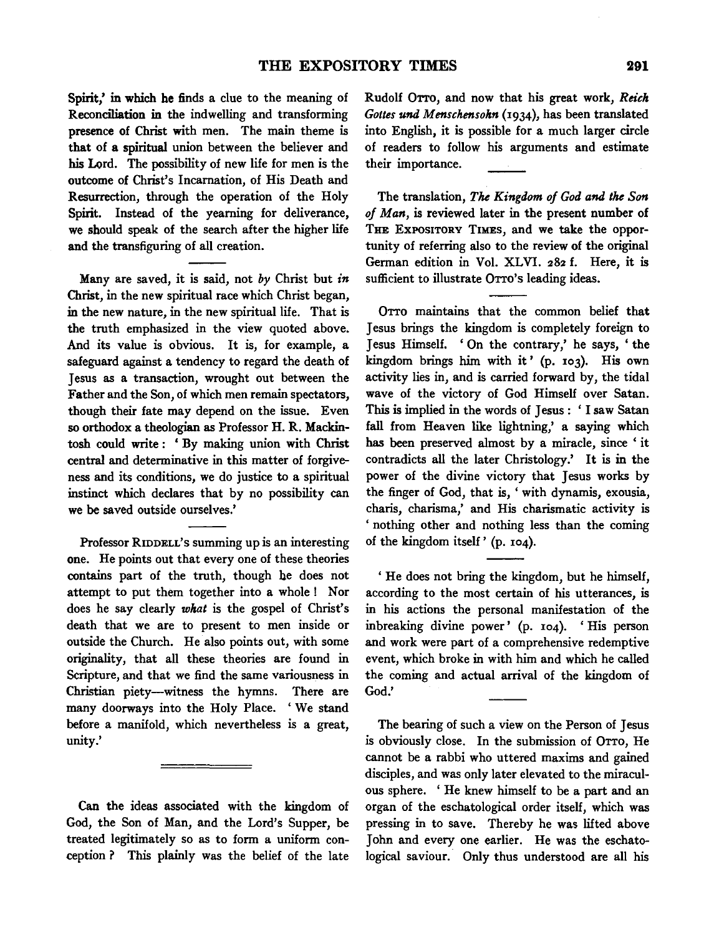Spirit,' in which he finds a clue to the meaning of Reconciliation in the indwelling and transforming presence of Christ with men. The main theme is that of a spiritual union between the believer and his Lord. The possibility of new life for men is the outcome of Christ's Incarnation, of His Death and Resurrection, through the operation of the Holy Spirit. Instead of the yearning for deliverance, we should speak of the search after the higher life and the transfiguring of all creation.

Many are saved, it is said, not *by* Christ but *in*  Christ, in the new spiritual race which Christ began, in the new nature, in the new spiritual life. That is the truth emphasized in the view quoted above. And its value is obvious. It is, for example, a safeguard against a tendency to regard the death of Jesus as a transaction, wrought out between the Father and the Son, of which men remain spectators, though their fate may depend on the issue. Even so orthodox a theologian as Professor H. R. Mackintosh could write : ' By making union with Christ central and determinative in this matter of forgiveness and its conditions, we do justice to a spiritual instinct which declares that by no possibility can we be saved outside ourselves.'

Professor RIDDELL's summing up is an interesting one. He points out that every one of these theories contains part of the truth, though be does not attempt to put them together into a whole! Nor does he say clearly *what* is the gospel of Christ's death that we are to present to men inside or outside the Church. He also points out, with some originality, that all these theories are found in Scripture, and that we find the same variousness in Christian piety-witness the hymns. There are many doorways into the Holy Place. 'We stand before a manifold, which nevertheless is a great, unity.'

Can the ideas associated with the kingdom of God, the Son of Man, and the Lord's Supper, be treated legitimately so as to form a uniform conception ? This plainly was the belief of the late Rudolf *Ono,* and now that his great work, *Reich Gottes und Menschensohn* (1934), has been translated into English, it is possible for a much larger circle of readers to follow his arguments and estimate their importance.

The translation, *The Kingdom of God and the Son of Man,* is reviewed later in the present number of THE EXPOSITORY TIMES, and we take the opportunity of referring also to the review of the original German edition in Vol. XLVI. 282 f. Here, it is sufficient to illustrate OTTo's leading ideas.

OTTO maintains that the common belief that Jesus brings the kingdom is completely foreign to Jesus Himself. 'On the contrary,' he says, 'the kingdom brings him with it' (p. 103). His own activity lies in, and is carried forward by, the tidal wave of the victory of God Himself over Satan. This is implied in the words of Jesus: 'I saw Satan fall from Heaven like lightning,' a saying which has been preserved almost by a miracle, since ' it contradicts all the later Christology.' It is in the power of the divine victory that Jesus works by the finger of God, that is, 'with dynamis, exousia, charis, charisma,' and His charismatic activity is ' nothing other and nothing less than the coming of the kingdom itself' (p. 104).

' He does not bring the kingdom, but he himself, according to the most certain of his utterances, is in his actions the personal manifestation of the inbreaking divine power' (p. 104). 'His person and work were part of a comprehensive redemptive event, which broke in with him and which he called the coming and actual arrival of the kingdom of God.'

The bearing of such a view on the Person of Jesus is obviously close. In the submission of OTTo, He cannot be a rabbi who uttered maxims and gained disciples, and was only later elevated to the miraculous sphere. ' He knew himself to be a part and an organ of the eschatological order itself, which was pressing in to save. Thereby he was lifted above John and every one earlier. He was the eschatological saviour. Only thus understood are all his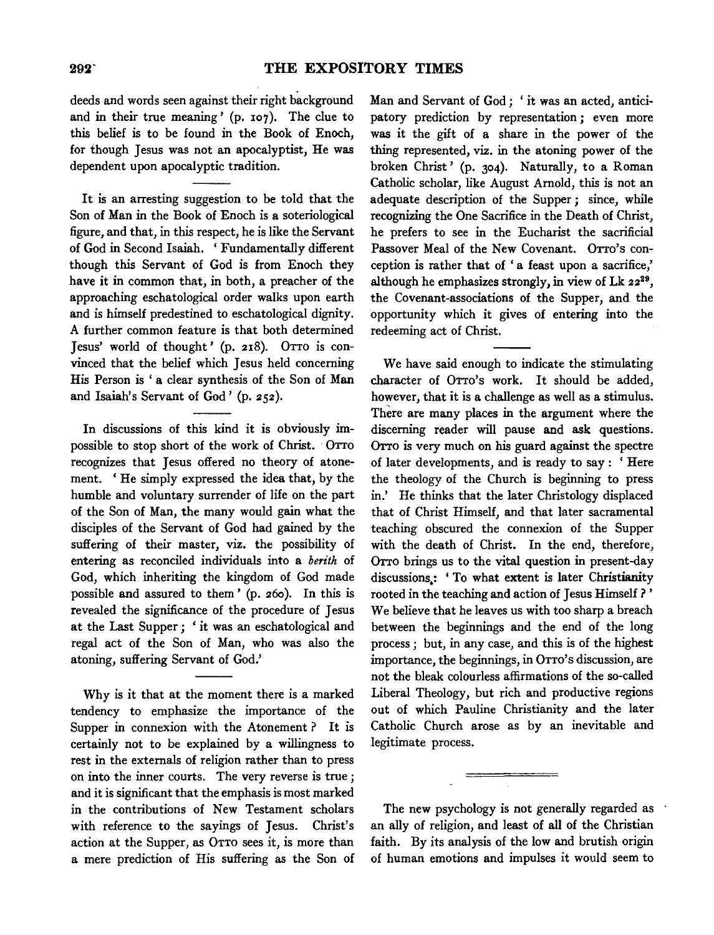deeds and words seen against their right background and in their true meaning' (p. 107). The clue to this belief is to be found in the Book of Enoch, for though Jesus was not an apocalyptist, He was dependent upon apocalyptic tradition.

It is an arresting suggestion to be told that the Son of Man in the Book of Enoch is a soteriological figure, and that, in this respect, he is like the Servant of God in Second Isaiah. ' Fundamentally different though this Servant of God is from Enoch they have it in common that, in both, a preacher of the approaching eschatological order walks upon earth and is himself predestined to eschatological dignity. A further common feature is that both determined Jesus' world of thought' (p. 218). OTTO is convinced that the belief which Jesus held concerning His Person is ' a clear synthesis of the Son of Man and Isaiah's Servant of God' (p. 252).

In discussions of this kind it is obviously impossible to stop short of the work of Christ. OTTO recognizes that Jesus offered no theory of atonement. ' He simply expressed the idea that, by the humble and voluntary surrender of life on the part of the Son of Man, the many would gain what the disciples of the Servant of God had gained by the suffering of their master, viz. the possibility of entering as reconciled individuals into a *berith* of God, which inheriting the kingdom of God made possible and assured to them ' (p. 260). In this is revealed the significance of the procedure of Jesus at the Last Supper ; ' it was an eschatological and regal act of the Son of Man, who was also the atoning, suffering Servant of God.'

Why is it that at the moment there is a marked tendency to emphasize the importance of the Supper in connexion with the Atonement ? It is certainly not to be explained by a willingness to rest in the externals of religion rather than to press on into the inner courts. The very reverse is true ; and it is significant that the emphasis is most marked in the contributions of New Testament scholars with reference to the sayings of Jesus. Christ's action at the Supper, as OTTO sees it, is more than a mere prediction of His suffering as the Son of Man and Servant of God; ' it was an acted, anticipatory prediction by representation *;* even more was it the gift of a share in the power of the thing represented, viz. in the atoning power of the broken Christ' (p. 304). Naturally, to a Roman Catholic scholar, like August Arnold, this is not an adequate description of the Supper ; since, while recognizing the One Sacrifice in the Death of Christ, he prefers to see in the Eucharist the sacrificial Passover Meal of the New Covenant. Orro's conception is rather that of 'a feast upon a sacrifice,' although he emphasizes strongly, in view of Lk 2229, the Covenant-associations of the Supper, and the opportunity which it gives of entering into the redeeming act of Christ.

We have said enough to indicate the stimulating character of OTTo's work. It should be added, however, that it is a challenge as well as a stimulus. There are many places in the argument where the discerning reader will pause and ask questions. OTTO is very much on his guard against the spectre of later developments, and is ready to say : ' Here the theology of the Church is beginning to press in.' He thinks that the later Christology displaced that of Christ Himself, and that later sacramental teaching obscured the connexion of the Supper with the death of Christ. In the end, therefore, OTTO brings us to the vital question in present-day discussions.: ' To what extent is later Christianity rooted in the teaching and action of Jesus Himself ? ' We believe that he leaves us with too sharp a breach between the beginnings and the end of the long process; but, in any case, and this is of the highest importance, the beginnings, in OTTO'S discussion, are not the bleak colourless affirmations of the so-called Liberal Theology, but rich and productive regions out of which Pauline Christianity and the later Catholic Church arose as by an inevitable and legitimate process.

The new psychology is not generally regarded as an ally of religion, and least of all of the Christian faith. By its analysis of the low and brutish origin of human emotions and impulses it would seem to

\_\_\_\_\_\_\_\_\_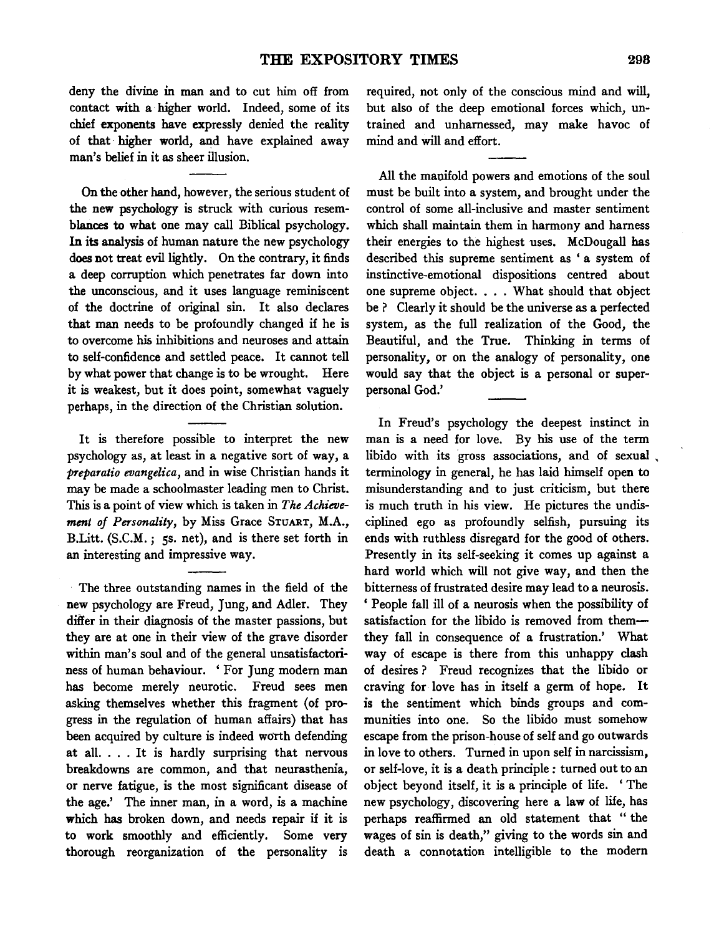deny the divine in man and to cut him off from contact with a higher world. Indeed, some of its chief exponents have expressly denied the reality of that· higher world, and have explained away man's belief in it as sheer illusion.

On the other hand, however, the serious student of the new psychology is struck with curious resemblances to what one may call Biblical psychology. In its analysis of human nature the new psychology does not treat evil lightly. On the contrary, it finds a deep corruption which penetrates far down into the unconscious, and it uses language reminiscent of the doctrine of original sin. It also declares that man needs to be profoundly changed if he is to overcome his inhibitions and neuroses and attain to self-confidence and settled peace. It cannot tell by what power that change is to be wrought. Here it is weakest, but it does point, somewhat vaguely perhaps, in the direction of the Christian solution.

It is therefore possible to interpret the new psychology as, at least in a negative sort of way, a *preparatio evangelica,* and in wise Christian hands it may be made a schoolmaster leading men to Christ. This is a point of view which is taken in *The Achievement of Personality,* by Miss Grace STUART, M.A., B.Litt. (S.C.M.; 5s. net), and is there set forth in an interesting and impressive way.

The three outstanding names in the field of the new psychology are Freud, Jung, and Adler. They differ in their diagnosis of the master passions, but they are at one in their view of the grave disorder within man's soul and of the general unsatisfactoriness of human behaviour. 'For Jung modern man has become merely neurotic. Freud sees men asking themselves whether this fragment (of progress in the regulation of human affairs) that has been acquired by culture is indeed worth defending at all. . . . It is hardly surprising that nervous breakdowns are common, and that neurasthenia, or nerve fatigue, is the most significant disease of the age.' The inner man, in a word, is a machine which has broken down, and needs repair if it is to work smoothly and efficiently. Some very thorough reorganization of the personality is

required, not only of the conscious mind and will, but also of the deep emotional forces which, untrained and unharnessed, may make havoc of mind and will and effort.

All the manifold powers and emotions of the soul must be built into a system, and brought under the control of some all-inclusive and master sentiment which shall maintain them in harmony and harness their energies to the highest uses. McDougall has described this supreme sentiment as ' a system of instinctive-emotional dispositions centred about one supreme object. . . . What should that object be ? Clearly it should be the universe as a perfected system, as the full realization of the Good, the Beautiful, and the True. Thinking in terms of personality, or on the analogy of personality, one would say that the object is a personal or superpersonal God.'

In Freud's psychology the deepest instinct in man is a need for love. By his use of the term libido with its gross associations, and of sexual , terminology in general, he has laid himself open to misunderstanding and to just criticism, but there is much truth in his view. He pictures the undisciplined ego as profoundly selfish, pursuing its ends with ruthless disregard for the good of others. Presently in its self-seeking it comes up against a hard world which will not give way, and then the bitterness of frustrated desire may lead to a neurosis. ' People fall ill of a neurosis when the possibility of satisfaction for the libido is removed from themthey fall in consequence of a frustration.' What way of escape is there from this unhappy clash of desires ? Freud recognizes that the libido or craving for love has in itself a germ of hope. It is the sentiment which binds groups and communities into one. So the libido must somehow escape from the prison-house of self and go outwards in love to others. Turned in upon self in narcissism, or self-love, it is a death principle : turned out to an object beyond itself, it is a principle of life. ' The new psychology, discovering here a law of life, has perhaps reaffirmed an old statement that " the wages of sin is death," giving to the words sin and death a connotation intelligible to the modern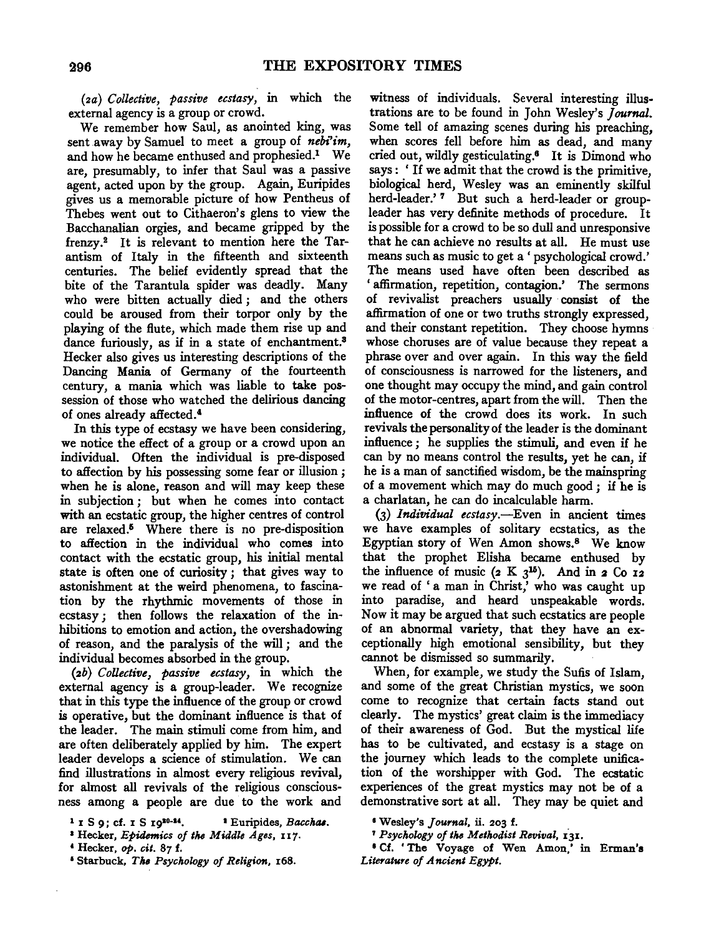*(2a) Collective, passive ecstasy,* in which the external agency is a group or crowd.

We remember how Saul, as anointed king, was sent away by Samuel to meet a group of *nebi'im,*  and how he became enthused and prophesied.<sup>1</sup> We are, presumably, to infer that Saul was a passive agent, acted upon by the group. Again, Euripides gives us a memorable picture of how Pentheus of Thebes went out to Cithaeron's glens to view the Bacchanalian orgies, and became gripped by the frenzy.2 It is relevant to mention here the Tarantism of Italy in the fifteenth and sixteenth centuries. The belief evidently spread that the bite of the Tarantula spider was deadly. Many who were bitten actually died ; and the others could be aroused from their torpor only by the playing of the flute, which made them rise up and dance furiously, as if in a state of enchantment.<sup>3</sup> Hecker also gives us interesting descriptions of the Dancing Mania of Germany of the fourteenth century, a mania which was liable to take possession of those who watched the delirious dancing of ones already affected.'

In this type of ecstasy we have been considering, we notice the effect of a group or a crowd upon an individual. Often the individual is pre-disposed to affection by his possessing some fear or illusion ; when he is alone, reason and will may keep these in subjection ; but when he comes into contact with an ecstatic group, the higher centres of control are relaxed.<sup>5</sup> Where there is no pre-disposition to affection in the individual who comes into contact with the ecstatic group, his initial mental state is often one of curiosity ; that gives way to astonishment at the weird phenomena, to fascination by the rhythmic movements of those in ecstasy ; then follows the relaxation of the inhibitions to emotion and action, the overshadowing of reason, and the paralysis of the will *;* and the individual becomes absorbed in the group.

*(2b) Collective, passive ecstasy,* in which the external agency is a group-leader. We recognize that in this type the influence of the group or crowd is operative, but the dominant influence is that of the leader. The main stimuli come from him, and are often deliberately applied by him. The expert leader develops a science of stimulation. We can find illustrations in almost every religious revival, for almost all revivals of the religious consciousness among a people are due to the work and

witness of individuals. Several interesting illustrations are to be found in John Wesley's *Journal.*  Some tell of amazing scenes during his preaching, when scores fell before him as dead, and many cried out, wildly gesticulating.8 It is Dimond who says : ' If we admit that the crowd is the primitive, biological herd, Wesley was an eminently skilful herd-leader.' 7 But such a herd-leader or groupleader has very definite methods of procedure. It is possible for a crowd to be so dull and unresponsive that he can achieve no results at all. He must use means such as music to get a ' psychological crowd.' The means used have often been described as ' affirmation, repetition, contagion.' The sermons of revivalist preachers usually consist of the affirmation of one or two truths strongly expressed, and their constant repetition. They choose hymns whose choruses are of value because they repeat a phrase over and over again. In this way the field of consciousness is narrowed for the listeners, and one thought may occupy the mind, and gain control of the motor-centres, apart from the will. Then the influence of the crowd does its work. In such revivals the personality of the leader is the dominant influence ; he supplies the stimuli, and even if he can by no means control the results, yet he can, if he is a man of sanctified wisdom, be the mainspring of a movement which may do much good *;* if he is a charlatan, he can do incalculable harm.

(3) *Individual ecstasy.-Even* in ancient times we have examples of solitary ecstatics, as the Egyptian story of Wen Amon shows.<sup>8</sup> We know that the prophet Elisha became enthused by the influence of music  $(2 K 3^{15})$ . And in 2 Co 12 we read of 'a man in Christ,' who was caught up into paradise, and heard unspeakable words. Now it may be argued that such ecstatics are people of an abnormal variety, that they have an exceptionally high emotional sensibility, but they cannot be dismissed so summarily.

When, for example, we study the Sufis of Islam, and some of the great Christian mystics, we soon come to recognize that certain facts stand out clearly. The mystics' great claim is the immediacy of their awareness of God. But the mystical life has to be cultivated, and ecstasy is a stage on the journey which leads to the complete unification of the worshipper with God. The ecstatic experiences of the great mystics may not be of a demonstrative sort at all. They may be quiet and

• Cf. 'The Voyage of Wen Amon,' in Erman's *Literature of Ancient Egypt.* 

<sup>&</sup>lt;sup>1</sup> I S 9; cf. 1 S 19<sup>20-24</sup>. <sup>1</sup> Euripides, *Bacchas*.

<sup>1</sup> Hecker, *Epidemics of ths Middle Ages,* n7.

<sup>•</sup> Hecker, *op. cit.* 87 f.

<sup>1</sup> Starbuck, *The Psychology of Religion,* 168.

<sup>&</sup>lt;sup>6</sup> Wesley's *Journal*, ii. 203 f.<br><sup>7</sup> *Psychology of the Methodist Revival*, 131.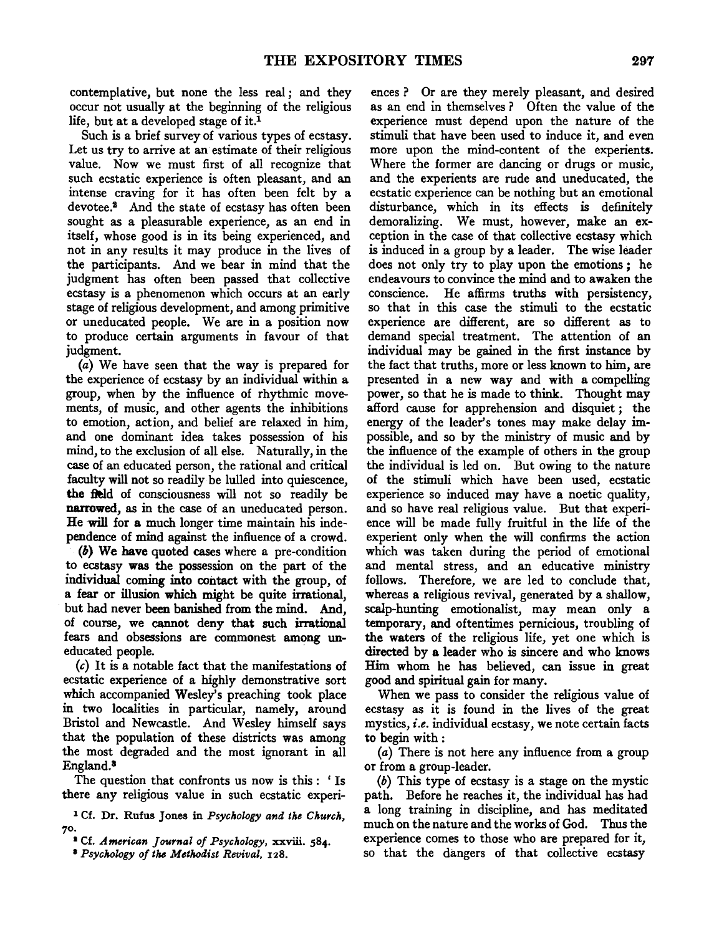contemplative, but none the less real ; and they occur not usually at the beginning of the religious life, but at a developed stage of it.<sup>1</sup>

Such is a brief survey of various types of ecstasy. Let us try to arrive at an estimate of their religious value. Now we must first of all recognize that such ecstatic experience is often pleasant, and an intense craving for it has often been felt by a devotee.3 And the state of ecstasy has often been sought as a pleasurable experience, as an end in itself, whose good is in its being experienced, and not in any results it may produce in the lives of the participants. And we bear in mind that the judgment has often been passed that collective ecstasy is a phenomenon which occurs at an early stage of religious development, and among primitive or uneducated people. We are in a position now to produce certain arguments in favour of that judgment.

*(a)* We have seen that the way is prepared for the experience of ecstasy by an individual within a group, when by the influence of rhythmic movements, of music, and other agents the inhibitions to emotion, action, and belief are relaxed in him, and one dominant idea takes possession of his mind, to the exclusion of all else. Naturally, in the case of an educated person, the rational and critical faculty will not so readily be lulled into quiescence, the field of consciousness will not so readily be narrowed, as in the case of an uneducated person. He will for a much longer time maintain his independence of mind against the influence of a crowd.

(b) We have quoted cases where a pre-condition to ecstasy was the possession on the part of the individual coming into contact with the group, of a fear or illusion which might be quite irrational, but had never been banished from the mind. And, of course, we cannot deny that such irrational fears and obsessions are commonest among uneducated people.

*(c)* It is a notable fact that the manifestations of ecstatic experience of a highly demonstrative sort which accompanied Wesley's preaching took place in two localities in particular, namely, around Bristol and Newcastle. And Wesley himself says that the population of these districts was among the most degraded and the most ignorant in all England.<sup>3</sup>

The question that confronts us now is this : ' Is there any religious value in such ecstatic experi-

1 Cf. Dr. Rufus Jones in *Psychology and the Church,* 

ences ? Or are they merely pleasant, and desired as an end in themselves? Often the value of the experience must depend upon the nature of the stimuli that have been used to induce it, and even more upon the mind-content of the experients. Where the former are dancing or drugs or music, and the experients are rude and uneducated, the ecstatic experience can be nothing but an emotional disturbance, which in its effects is definitely demoralizing. We must, however, make an exception in the case of that collective ecstasy which is induced in a group by a leader. The wise leader does not only try to play upon the emotions ; he endeavours to convince the mind and to awaken the conscience. He affirms truths with persistency, so that in this case the stimuli to the ecstatic experience are different, are so different as to demand special treatment. The attention of an individual may be gained in the first instance by the fact that truths, more or less known to him, are presented in a new way and with a compelling power, so that he is made to think. Thought may afford cause for apprehension and disquiet ; the energy of the leader's tones may make delay impossible, and so by the ministry of music and by the influence of the example of others in the group the individual is led on. But owing to the nature of the stimuli which have been used, ecstatic experience so induced may have a noetic quality, and so have real religious value. But that experience will be made fully fruitful in the life of the experient only when the will confirms the action which was taken during the period of emotional and mental stress, and an educative ministry follows. Therefore, we are led to conclude that, whereas a religious revival, generated by a shallow, scalp-hunting emotionalist, may mean only a temporary, and oftentimes pernicious, troubling of the waters of the religious life, yet one which is directed by a leader who is sincere and who knows Him whom he has believed, can issue in great good and spiritual gain for many.

When we pass to consider the religious value of ecstasy as it is found in the lives of the great mystics, *i.e.* individual ecstasy, we note certain facts to begin with :

*(a)* There is not here any influence from a group or from a group-leader.

(b) This type of ecstasy is a stage on the mystic path. Before he reaches it, the individual has had a long training in discipline, and has meditated much on the nature and the works of God. Thus the experience comes to those who are prepared for it, so that the dangers of that collective ecstasy

<sup>70. 1</sup> Cf. *American Journal of Psychology,* xxviii. 584. 1 *Psychology of tha Methodist Revival,* 128.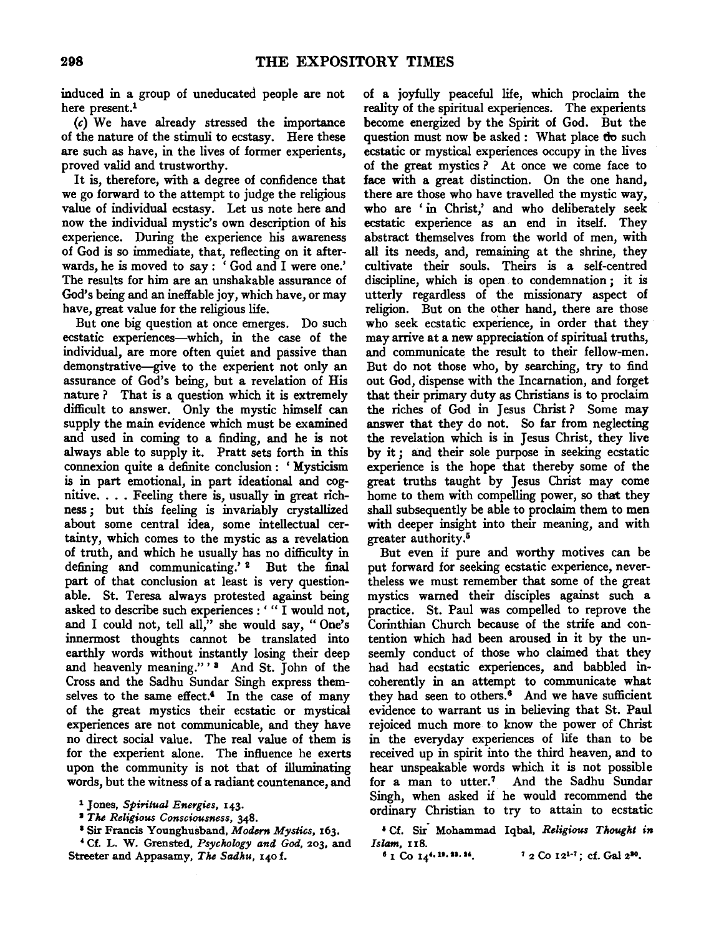induced in a group of uneducated people are not here present.<sup>1</sup>

*(c)* We have already stressed the importance of the nature of the stimuli to ecstasy. Here these are such as have, in the lives of former experients, proved valid and trustworthy.

It is, therefore, with a degree of confidence that we go forward to the attempt to judge the religious value of individual ecstasy. Let us note here and now the individual mystic's own description of his experience. During the experience his awareness of God is so immediate, that, reflecting on it afterwards, he is moved to say: 'God and I were one.' The results for him are an unshakable assurance of God's being and an ineffable joy, which have, or may have, great value for the religious life.

But one big question at once emerges. Do such ecstatic experiences-which, in the case of the individual, are more often quiet and passive than demonstrative-give to the experient not only an assurance of God's being, but a revelation of His nature ? That is a question which it is extremely difficult to answer. Only the mystic himself can supply the main evidence which must be examined and used in coming to a finding, and he is not always able to supply it. Pratt sets forth in this connexion quite a definite conclusion: 'Mysticism is in part emotional, in part ideational and cognitive.  $\ldots$  Feeling there is, usually in great richness ; but this feeling is invariably crystallized about some central idea, some intellectual certainty, which comes to the mystic as a revelation of truth, and which he usually has no difficulty in defining and communicating.' <sup>2</sup> But the final part of that conclusion at least is very questionable. St. Teresa always protested against being asked to describe such experiences : ' " I would not, and I could not, tell all," she would say, "One's innermost thoughts cannot be translated into earthly words without instantly losing their deep and heavenly meaning."<sup>3</sup> And St. John of the Cross and the Sadhu Sundar Singh express themselves to the same effect.<sup>4</sup> In the case of many of the great mystics their ecstatic or mystical experiences are not communicable, and they have no direct social value. The real value of them is for the experient alone. The influence he exerts upon the community is not that of illuminating words, but the witness of a radiant countenance, and

<sup>1</sup> Jones, *Spiritual Energies*, 143.<br>**9** *The Religious Consciousness*, 348.<br>**8 Sir Francis Younghusband,** *Modern Mystics***, 163.** 

' Cf. L. W. Grensted, *Psychology and God,* 203, and Streeter and Appasamy, *The Sadhu,* 140 f.

of a joyfully peaceful life, which proclaim the reality of the spiritual experiences. The experients become energized by the Spirit of God. But the question must now be asked : What place do such ecstatic or mystical experiences occupy in the lives of the great mystics ? At once we come face to face with a great distinction. On the one hand, there are those who have travelled the mystic way, who are 'in Christ,' and who deliberately seek ecstatic experience as an end in itself. They abstract themselves from the world of men, with all its needs, and, remaining at the shrine, they cultivate their souls. Theirs is a self-centred discipline, which is open to condemnation ; it is utterly regardless of the missionary aspect of religion. But on the other hand, there are those who seek ecstatic experience, in order that they may arrive at a new appreciation of spiritual truths, and communicate the result to their fellow-men. But do not those who, by searching, try to find out God, dispense with the Incarnation, and forget that their primary duty as Christians is to proclaim the riches of God in Jesus Christ ? Some may answer that they do not. So far from neglecting the revelation which is in Jesus Christ, they live by it ; and their sole purpose in seeking ecstatic experience is the hope that thereby some of the great truths taught by Jesus Christ may come home to them with compelling power, so that they shall subsequently be able to proclaim them to men with deeper insight into their meaning, and with greater authority.<sup>5</sup>

But even if pure and worthy motives can be put forward for seeking ecstatic experience, nevertheless we must remember that some of the great mystics warned their disciples against such a practice. St. Paul was compelled to reprove the Corinthian Church because of the strife and contention which had been aroused in it by the unseemly conduct of those who claimed that they had had ecstatic experiences, and babbled incoherently in an attempt to communicate what they had seen to others.<sup>6</sup> And we have sufficient evidence to warrant us in believing that St. Paul rejoiced much more to know the power of Christ in the everyday experiences of life than to be received up in spirit into the third heaven, and to hear unspeakable words which it is not possible for a man to utter.7 And the Sadhu Sundar Singh, when asked if he would recommend the ordinary Christian to try to attain to ecstatic

<sup>•</sup> Cf. Sir. Mohammad Iqbal, *Religious Thought in Islam*, 118.<br>
<sup>6</sup> I Co 14<sup>4.19.13.<sup>14</sup>.<br>
<sup>7</sup> 2 Co 12<sup>1-7</sup>; cf. Gal 2<sup>20</sup>.</sup>